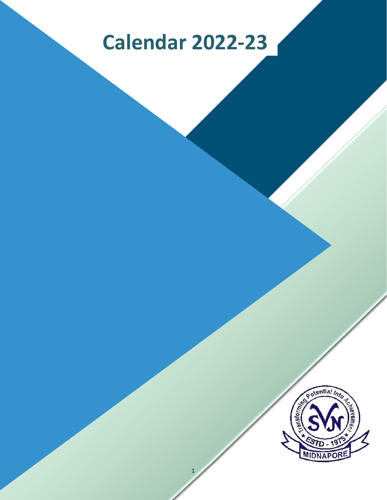# **Calendar 2022-23**

1

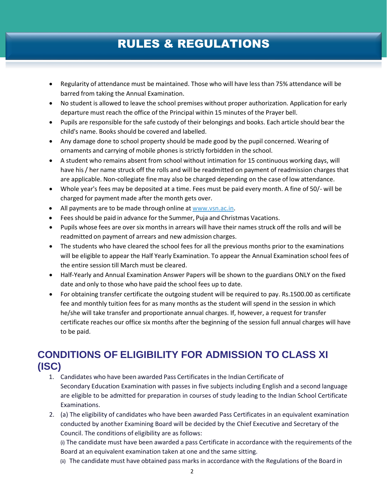# RULES & REGULATIONS

- Regularity of attendance must be maintained. Those who will have less than 75% attendance will be barred from taking the Annual Examination.
- No student is allowed to leave the school premises without proper authorization. Application for early departure must reach the office of the Principal within 15 minutes of the Prayer bell.
- Pupils are responsible for the safe custody of their belongings and books. Each article should bear the child's name. Books should be covered and labelled.
- Any damage done to school property should be made good by the pupil concerned. Wearing of ornaments and carrying of mobile phones is strictly forbidden in the school.
- A student who remains absent from school without intimation for 15 continuous working days, will have his / her name struck off the rolls and will be readmitted on payment of readmission charges that are applicable. Non-collegiate fine may also be charged depending on the case of low attendance.
- Whole year's fees may be deposited at a time. Fees must be paid every month. A fine of 50/- will be charged for payment made after the month gets over.
- All payments are to be made through online at [www.vsn.ac.in.](http://www.vsn.ac.in/)
- Fees should be paid in advance for the Summer, Puja and Christmas Vacations.
- Pupils whose fees are over six months in arrears will have their names struck off the rolls and will be readmitted on payment of arrears and new admission charges.
- The students who have cleared the school fees for all the previous months prior to the examinations will be eligible to appear the Half Yearly Examination. To appear the Annual Examination school fees of the entire session till March must be cleared.
- Half-Yearly and Annual Examination Answer Papers will be shown to the guardians ONLY on the fixed date and only to those who have paid the school fees up to date.
- For obtaining transfer certificate the outgoing student will be required to pay. Rs.1500.00 as certificate fee and monthly tuition fees for as many months as the student will spend in the session in which he/she will take transfer and proportionate annual charges. If, however, a request for transfer certificate reaches our office six months after the beginning of the session full annual charges will have to be paid.

## **CONDITIONS OF ELIGIBILITY FOR ADMISSION TO CLASS XI (ISC)**

- 1. Candidates who have been awarded Pass Certificates in the Indian Certificate of Secondary Education Examination with passes in five subjects including English and a second language are eligible to be admitted for preparation in courses of study leading to the Indian School Certificate Examinations.
- 2. (a) The eligibility of candidates who have been awarded Pass Certificates in an equivalent examination conducted by another Examining Board will be decided by the Chief Executive and Secretary of the Council. The conditions of eligibility are as follows:

(i) The candidate must have been awarded a pass Certificate in accordance with the requirements of the Board at an equivalent examination taken at one and the same sitting.

(ii) The candidate must have obtained pass marks in accordance with the Regulations of the Board in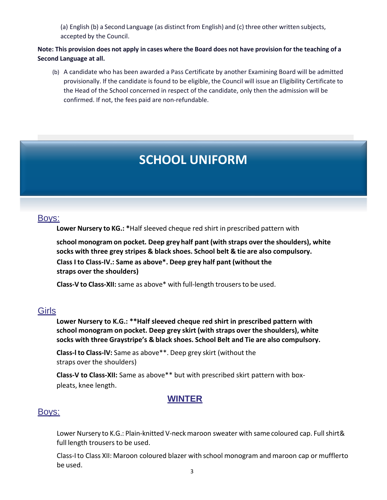(a) English (b) a Second Language (as distinct from English) and (c) three other written subjects, accepted by the Council.

#### Note: This provision does not apply in cases where the Board does not have provision for the teaching of a **Second Language at all.**

(b) A candidate who has been awarded a Pass Certificate by another Examining Board will be admitted provisionally. If the candidate is found to be eligible, the Council will issue an Eligibility Certificate to the Head of the School concerned in respect of the candidate, only then the admission will be confirmed. If not, the fees paid are non-refundable.

# **SCHOOL UNIFORM**

#### Boys:

**Lower Nursery to KG.: \***Half sleeved cheque red shirt in prescribed pattern with

**school monogram on pocket. Deep grey half pant (with straps over the shoulders), white socks with three grey stripes & black shoes. School belt & tie are also compulsory. Class I to Class-IV.: Same as above\*. Deep grey half pant (without the straps over the shoulders)**

**Class-V to Class-XII:**same as above\* with full-length trousersto be used.

#### **Girls**

**Lower Nursery to K.G.: \*\*Half sleeved cheque red shirt in prescribed pattern with school monogram on pocket. Deep grey skirt (with straps over the shoulders), white socks with three Graystripe's & black shoes. School Belt and Tie are also compulsory.**

**Class-l to Class-lV:** Same as above\*\*. Deep grey skirt (without the straps over the shoulders)

**Class-V to Class-XII:** Same as above\*\* but with prescribed skirt pattern with boxpleats, knee length.

#### **WINTER**

#### Boys:

Lower Nursery to K.G.: Plain-knitted V-neck maroon sweater with same coloured cap. Full shirt& full length trousers to be used.

Class-Ito Class XII: Maroon coloured blazer with school monogram and maroon cap or mufflerto be used.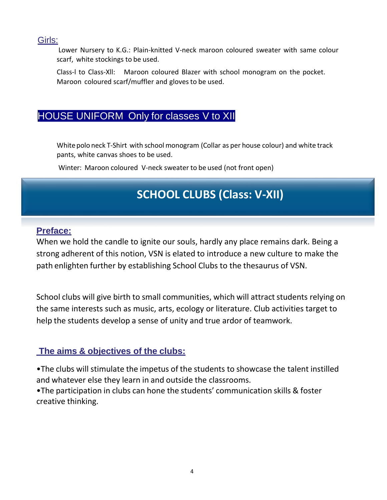#### Girls:

Lower Nursery to K.G.: Plain-knitted V-neck maroon coloured sweater with same colour scarf, white stockings to be used.

Class-l to Class-Xll: Maroon coloured Blazer with school monogram on the pocket. Maroon coloured scarf/muffler and glovesto be used.

## HOUSE UNIFORM Only for classes V to XII

White polo neck T-Shirt with school monogram (Collar as per house colour) and white track pants, white canvas shoes to be used.

Winter: Maroon coloured V-neck sweater to be used (not front open)

# **SCHOOL CLUBS (Class: V-XII)**

## **Preface:**

When we hold the candle to ignite our souls, hardly any place remains dark. Being a strong adherent of this notion, VSN is elated to introduce a new culture to make the path enlighten further by establishing School Clubs to the thesaurus of VSN.

School clubs will give birth to small communities, which will attract students relying on the same interests such as music, arts, ecology or literature. Club activities target to help the students develop a sense of unity and true ardor of teamwork.

## **The aims & objectives of the clubs:**

•The clubs will stimulate the impetus of the students to showcase the talent instilled and whatever else they learn in and outside the classrooms.

•The participation in clubs can hone the students' communication skills & foster creative thinking.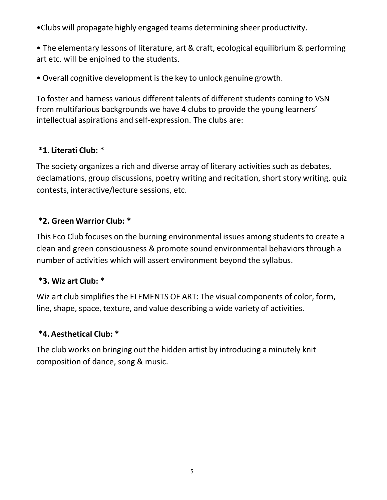- •Clubs will propagate highly engaged teams determining sheer productivity.
- The elementary lessons of literature, art & craft, ecological equilibrium & performing art etc. will be enjoined to the students.
- Overall cognitive development isthe key to unlock genuine growth.

To foster and harness various different talents of different students coming to VSN from multifarious backgrounds we have 4 clubs to provide the young learners' intellectual aspirations and self-expression. The clubs are:

## **\*1. Literati Club: \***

The society organizes a rich and diverse array of literary activities such as debates, declamations, group discussions, poetry writing and recitation, short story writing, quiz contests, interactive/lecture sessions, etc.

#### **\*2. Green Warrior Club: \***

This Eco Club focuses on the burning environmental issues among students to create a clean and green consciousness & promote sound environmental behaviors through a number of activities which will assert environment beyond the syllabus.

#### **\*3. Wiz art Club: \***

Wiz art club simplifies the ELEMENTS OF ART: The visual components of color, form, line, shape, space, texture, and value describing a wide variety of activities.

## **\*4. Aesthetical Club: \***

The club works on bringing out the hidden artist by introducing a minutely knit composition of dance, song & music.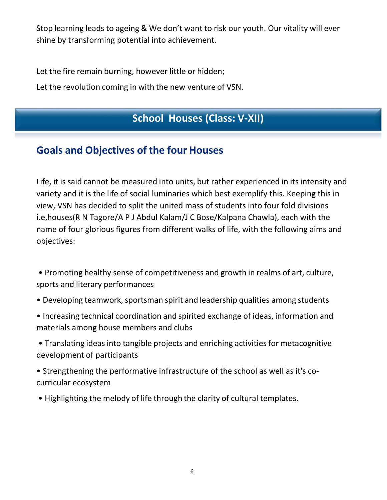Stop learning leads to ageing & We don't want to risk our youth. Our vitality will ever shine by transforming potential into achievement.

Let the fire remain burning, however little or hidden;

Let the revolution coming in with the new venture of VSN.

# **School Houses (Class: V-XII)**

## **Goals and Objectives of the four Houses**

Life, it is said cannot be measured into units, but rather experienced in its intensity and variety and it is the life of social luminaries which best exemplify this. Keeping this in view, VSN has decided to split the united mass of students into four fold divisions i.e,houses(R N Tagore/A P J Abdul Kalam/J C Bose/Kalpana Chawla), each with the name of four glorious figures from different walks of life, with the following aims and objectives:

• Promoting healthy sense of competitiveness and growth in realms of art, culture, sports and literary performances

- Developing teamwork, sportsman spirit and leadership qualities among students
- Increasing technical coordination and spirited exchange of ideas, information and materials among house members and clubs

• Translating ideas into tangible projects and enriching activities for metacognitive development of participants

• Strengthening the performative infrastructure of the school as well as it's cocurricular ecosystem

• Highlighting the melody of life through the clarity of cultural templates.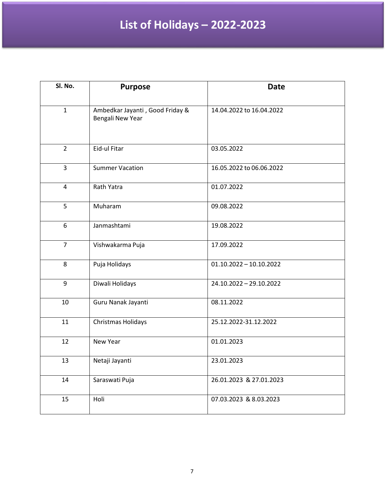# **List of Holidays – 2022-2023**

| Sl. No.        | <b>Purpose</b>                                             | <b>Date</b>               |
|----------------|------------------------------------------------------------|---------------------------|
| $\mathbf{1}$   | Ambedkar Jayanti, Good Friday &<br><b>Bengali New Year</b> | 14.04.2022 to 16.04.2022  |
| $\overline{2}$ | Eid-ul Fitar                                               | 03.05.2022                |
| 3              | <b>Summer Vacation</b>                                     | 16.05.2022 to 06.06.2022  |
| $\overline{4}$ | Rath Yatra                                                 | 01.07.2022                |
| 5              | Muharam                                                    | 09.08.2022                |
| 6              | Janmashtami                                                | 19.08.2022                |
| $\overline{7}$ | Vishwakarma Puja                                           | 17.09.2022                |
| 8              | Puja Holidays                                              | $01.10.2022 - 10.10.2022$ |
| 9              | Diwali Holidays                                            | 24.10.2022 - 29.10.2022   |
| 10             | Guru Nanak Jayanti                                         | 08.11.2022                |
| 11             | Christmas Holidays                                         | 25.12.2022-31.12.2022     |
| 12             | New Year                                                   | 01.01.2023                |
| 13             | Netaji Jayanti                                             | 23.01.2023                |
| 14             | Saraswati Puja                                             | 26.01.2023 & 27.01.2023   |
| 15             | Holi                                                       | 07.03.2023 & 8.03.2023    |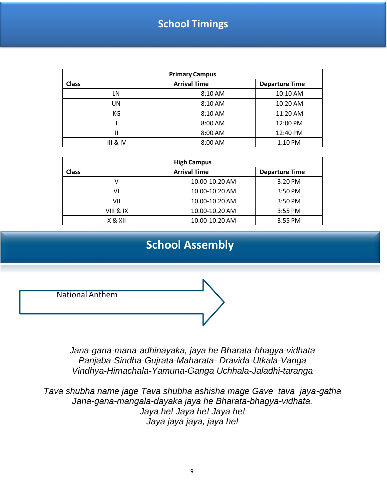## **School Timings**

| <b>Primary Campus</b> |                     |                       |  |  |
|-----------------------|---------------------|-----------------------|--|--|
| <b>Class</b>          | <b>Arrival Time</b> | <b>Departure Time</b> |  |  |
| LN                    | 8:10 AM             | 10:10 AM              |  |  |
| UN                    | 8:10 AM             | 10:20 AM              |  |  |
| КG                    | 8:10 AM             | 11:20 AM              |  |  |
|                       | 8:00 AM             | 12:00 PM              |  |  |
|                       | 8:00 AM             | 12:40 PM              |  |  |
| <b>III &amp; IV</b>   | 8:00 AM             | 1:10 PM               |  |  |

| <b>High Campus</b> |                     |                       |  |  |
|--------------------|---------------------|-----------------------|--|--|
| Class              | <b>Arrival Time</b> | <b>Departure Time</b> |  |  |
|                    | 10.00-10.20 AM      | 3:20 PM               |  |  |
| V١                 | 10.00-10.20 AM      | $3:50$ PM             |  |  |
| VII                | 10.00-10.20 AM      | 3:50 PM               |  |  |
| VIII & IX          | 10.00-10.20 AM      | 3:55 PM               |  |  |
| X & XII            | 10.00-10.20 AM      | 3:55 PM               |  |  |

## **School Assembly**

National Anthem

*Jana-gana-mana-adhinayaka, jaya he Bharata-bhagya-vidhata Panjaba-Sindha-Gujrata-Maharata- Dravida-Utkala-Vanga Vindhya-Himachala-Yamuna-Ganga Uchhala-Jaladhi-taranga*

*Tava shubha name jage Tava shubha ashisha mage Gave tava jaya-gatha Jana-gana-mangala-dayaka jaya he Bharata-bhagya-vidhata. Jaya he! Jaya he! Jaya he! Jaya jaya jaya, jaya he!*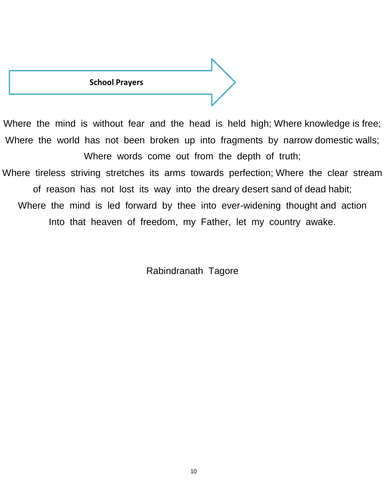#### **School Prayers**

Where the mind is without fear and the head is held high; Where knowledge is free; Where the world has not been broken up into fragments by narrow domestic walls; Where words come out from the depth of truth; Where tireless striving stretches its arms towards perfection; Where the clear stream of reason has not lost its way into the dreary desert sand of dead habit; Where the mind is led forward by thee into ever-widening thought and action Into that heaven of freedom, my Father, let my country awake.

Rabindranath Tagore